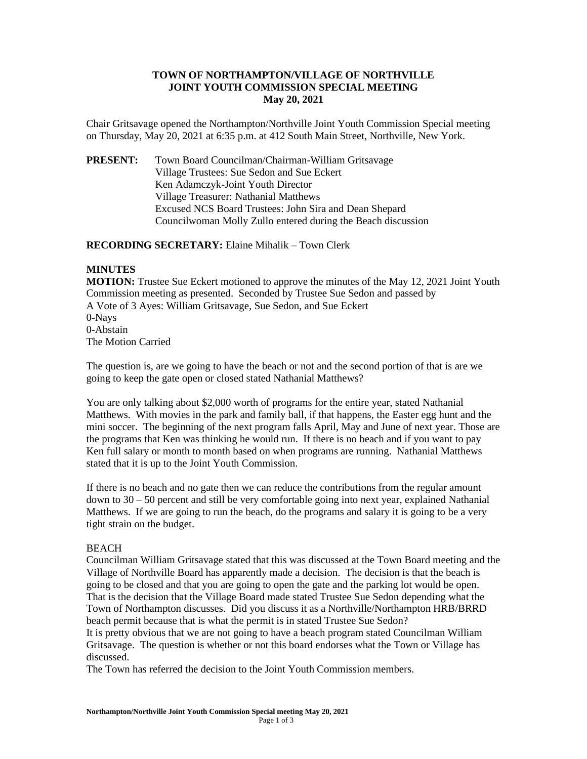## **TOWN OF NORTHAMPTON/VILLAGE OF NORTHVILLE JOINT YOUTH COMMISSION SPECIAL MEETING May 20, 2021**

Chair Gritsavage opened the Northampton/Northville Joint Youth Commission Special meeting on Thursday, May 20, 2021 at 6:35 p.m. at 412 South Main Street, Northville, New York.

**PRESENT:** Town Board Councilman/Chairman-William Gritsavage Village Trustees: Sue Sedon and Sue Eckert Ken Adamczyk-Joint Youth Director Village Treasurer: Nathanial Matthews Excused NCS Board Trustees: John Sira and Dean Shepard Councilwoman Molly Zullo entered during the Beach discussion

**RECORDING SECRETARY:** Elaine Mihalik – Town Clerk

## **MINUTES**

**MOTION:** Trustee Sue Eckert motioned to approve the minutes of the May 12, 2021 Joint Youth Commission meeting as presented. Seconded by Trustee Sue Sedon and passed by A Vote of 3 Ayes: William Gritsavage, Sue Sedon, and Sue Eckert 0-Nays 0-Abstain The Motion Carried

The question is, are we going to have the beach or not and the second portion of that is are we going to keep the gate open or closed stated Nathanial Matthews?

You are only talking about \$2,000 worth of programs for the entire year, stated Nathanial Matthews. With movies in the park and family ball, if that happens, the Easter egg hunt and the mini soccer. The beginning of the next program falls April, May and June of next year. Those are the programs that Ken was thinking he would run. If there is no beach and if you want to pay Ken full salary or month to month based on when programs are running. Nathanial Matthews stated that it is up to the Joint Youth Commission.

If there is no beach and no gate then we can reduce the contributions from the regular amount down to 30 – 50 percent and still be very comfortable going into next year, explained Nathanial Matthews. If we are going to run the beach, do the programs and salary it is going to be a very tight strain on the budget.

## **BEACH**

discussed.

Councilman William Gritsavage stated that this was discussed at the Town Board meeting and the Village of Northville Board has apparently made a decision. The decision is that the beach is going to be closed and that you are going to open the gate and the parking lot would be open. That is the decision that the Village Board made stated Trustee Sue Sedon depending what the Town of Northampton discusses. Did you discuss it as a Northville/Northampton HRB/BRRD beach permit because that is what the permit is in stated Trustee Sue Sedon? It is pretty obvious that we are not going to have a beach program stated Councilman William Gritsavage. The question is whether or not this board endorses what the Town or Village has

The Town has referred the decision to the Joint Youth Commission members.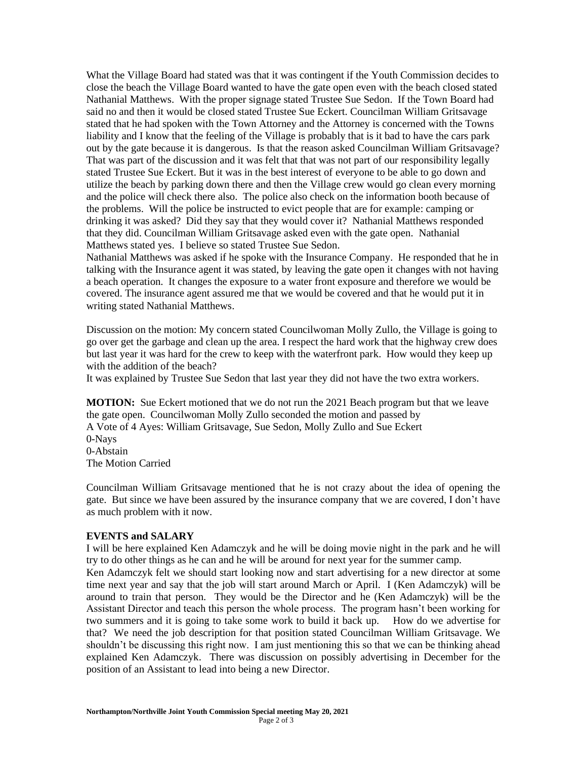What the Village Board had stated was that it was contingent if the Youth Commission decides to close the beach the Village Board wanted to have the gate open even with the beach closed stated Nathanial Matthews. With the proper signage stated Trustee Sue Sedon. If the Town Board had said no and then it would be closed stated Trustee Sue Eckert. Councilman William Gritsavage stated that he had spoken with the Town Attorney and the Attorney is concerned with the Towns liability and I know that the feeling of the Village is probably that is it bad to have the cars park out by the gate because it is dangerous. Is that the reason asked Councilman William Gritsavage? That was part of the discussion and it was felt that that was not part of our responsibility legally stated Trustee Sue Eckert. But it was in the best interest of everyone to be able to go down and utilize the beach by parking down there and then the Village crew would go clean every morning and the police will check there also. The police also check on the information booth because of the problems. Will the police be instructed to evict people that are for example: camping or drinking it was asked? Did they say that they would cover it? Nathanial Matthews responded that they did. Councilman William Gritsavage asked even with the gate open. Nathanial Matthews stated yes. I believe so stated Trustee Sue Sedon.

Nathanial Matthews was asked if he spoke with the Insurance Company. He responded that he in talking with the Insurance agent it was stated, by leaving the gate open it changes with not having a beach operation. It changes the exposure to a water front exposure and therefore we would be covered. The insurance agent assured me that we would be covered and that he would put it in writing stated Nathanial Matthews.

Discussion on the motion: My concern stated Councilwoman Molly Zullo, the Village is going to go over get the garbage and clean up the area. I respect the hard work that the highway crew does but last year it was hard for the crew to keep with the waterfront park. How would they keep up with the addition of the beach?

It was explained by Trustee Sue Sedon that last year they did not have the two extra workers.

**MOTION:** Sue Eckert motioned that we do not run the 2021 Beach program but that we leave the gate open. Councilwoman Molly Zullo seconded the motion and passed by A Vote of 4 Ayes: William Gritsavage, Sue Sedon, Molly Zullo and Sue Eckert 0-Nays 0-Abstain The Motion Carried

Councilman William Gritsavage mentioned that he is not crazy about the idea of opening the gate. But since we have been assured by the insurance company that we are covered, I don't have as much problem with it now.

## **EVENTS and SALARY**

I will be here explained Ken Adamczyk and he will be doing movie night in the park and he will try to do other things as he can and he will be around for next year for the summer camp.

Ken Adamczyk felt we should start looking now and start advertising for a new director at some time next year and say that the job will start around March or April. I (Ken Adamczyk) will be around to train that person. They would be the Director and he (Ken Adamczyk) will be the Assistant Director and teach this person the whole process. The program hasn't been working for two summers and it is going to take some work to build it back up. How do we advertise for that? We need the job description for that position stated Councilman William Gritsavage. We shouldn't be discussing this right now. I am just mentioning this so that we can be thinking ahead explained Ken Adamczyk. There was discussion on possibly advertising in December for the position of an Assistant to lead into being a new Director.